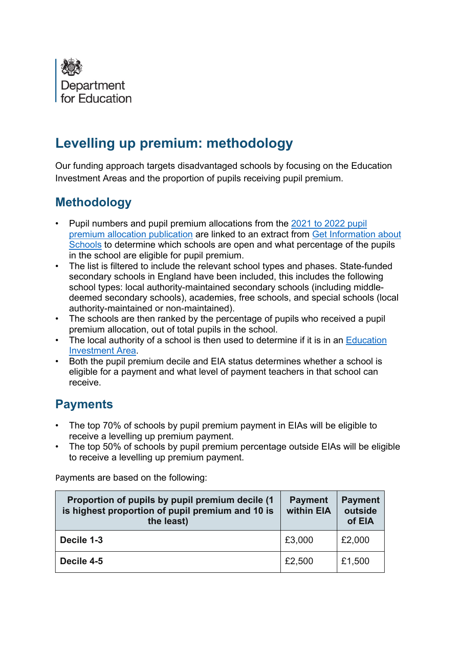

# **Levelling up premium: methodology**

Our funding approach targets disadvantaged schools by focusing on the Education Investment Areas and the proportion of pupils receiving pupil premium.

## **Methodology**

- Pupil numbers and pupil premium allocations from the 2021 to 2022 pupil [premium allocation publication](https://www.gov.uk/government/publications/pupil-premium-allocations-and-conditions-of-grant-2021-to-2022) are linked to an extract from [Get Information about](https://www.get-information-schools.service.gov.uk/)  [Schools](https://www.get-information-schools.service.gov.uk/) to determine which schools are open and what percentage of the pupils in the school are eligible for pupil premium.
- The list is filtered to include the relevant school types and phases. State-funded secondary schools in England have been included, this includes the following school types: local authority-maintained secondary schools (including middledeemed secondary schools), academies, free schools, and special schools (local authority-maintained or non-maintained).
- The schools are then ranked by the percentage of pupils who received a pupil premium allocation, out of total pupils in the school.
- The local authority of a school is then used to determine if it is in an Education [Investment Area.](https://www.gov.uk/government/publications/education-investment-areas-selection-methodology)
- Both the pupil premium decile and EIA status determines whether a school is eligible for a payment and what level of payment teachers in that school can receive.

## **Payments**

- The top 70% of schools by pupil premium payment in EIAs will be eligible to receive a levelling up premium payment.
- The top 50% of schools by pupil premium percentage outside EIAs will be eligible to receive a levelling up premium payment.

Payments are based on the following:

| Proportion of pupils by pupil premium decile (1)<br>is highest proportion of pupil premium and 10 is<br>the least) | <b>Payment</b><br>within EIA | <b>Payment</b><br>outside<br>of EIA |
|--------------------------------------------------------------------------------------------------------------------|------------------------------|-------------------------------------|
| Decile 1-3                                                                                                         | £3,000                       | £2,000                              |
| Decile 4-5                                                                                                         | £2,500                       | £1,500                              |